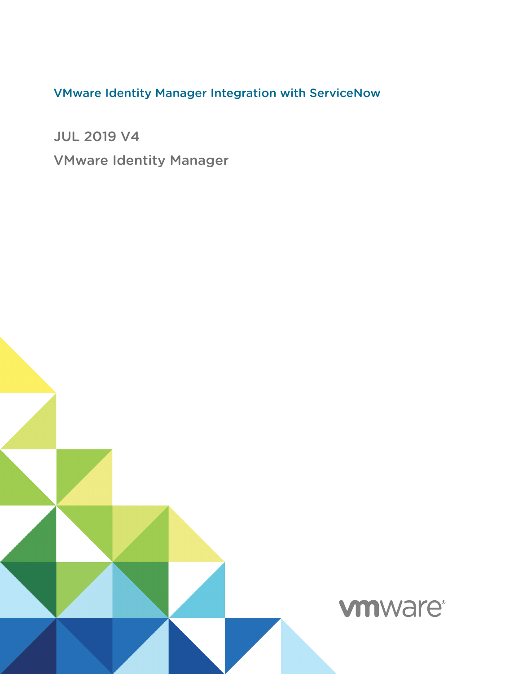VMware Identity Manager Integration with ServiceNow

JUL 2019 V4 VMware Identity Manager

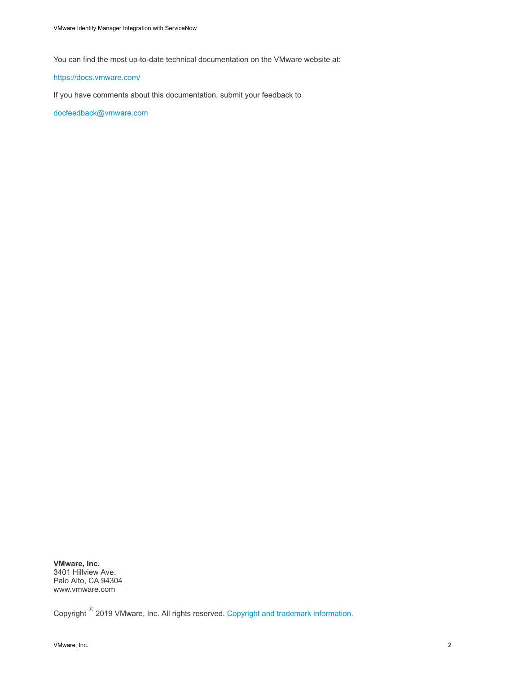You can find the most up-to-date technical documentation on the VMware website at:

#### <https://docs.vmware.com/>

If you have comments about this documentation, submit your feedback to

[docfeedback@vmware.com](mailto:docfeedback@vmware.com)

**VMware, Inc.** 3401 Hillview Ave. Palo Alto, CA 94304 www.vmware.com

Copyright  $^\circ$  2019 VMware, Inc. All rights reserved. [Copyright and trademark information.](http://pubs.vmware.com/copyright-trademark.html)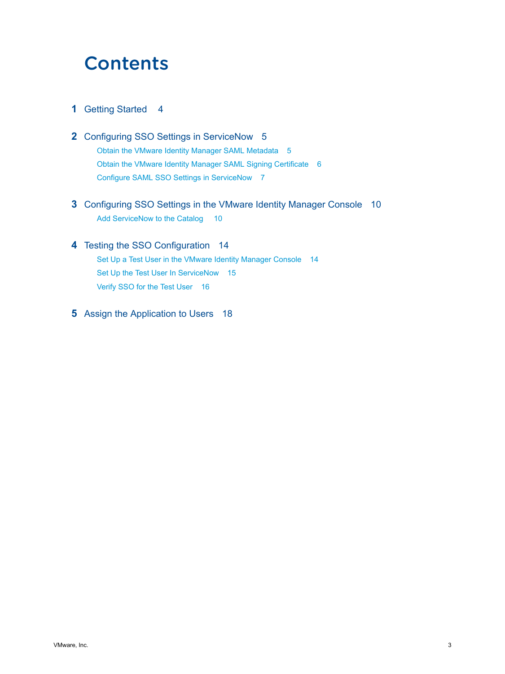## **Contents**

- **1** [Getting Started 4](#page-3-0)
- **2** [Configuring SSO Settings in ServiceNow 5](#page-4-0) [Obtain the VMware Identity Manager SAML Metadata 5](#page-4-0) [Obtain the VMware Identity Manager SAML Signing Certificate 6](#page-5-0) [Configure SAML SSO Settings in ServiceNow 7](#page-6-0)
- **3** [Configuring SSO Settings in the VMware Identity Manager Console 10](#page-9-0) [Add ServiceNow to the Catalog 10](#page-9-0)
- **4** [Testing the SSO Configuration 14](#page-13-0) [Set Up a Test User in the VMware Identity Manager Console 14](#page-13-0) [Set Up the Test User In ServiceNow 15](#page-14-0) [Verify SSO for the Test User 16](#page-15-0)
- **5** [Assign the Application to Users 18](#page-17-0)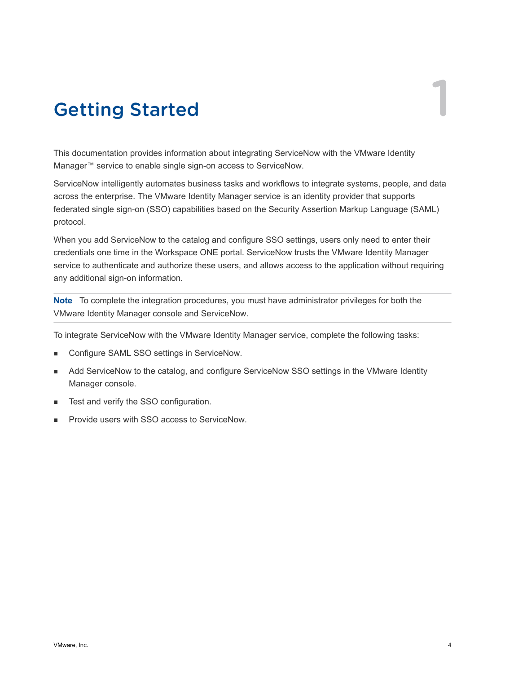# <span id="page-3-0"></span>**Getting Started**

This documentation provides information about integrating ServiceNow with the VMware Identity Manager™ service to enable single sign-on access to ServiceNow.

ServiceNow intelligently automates business tasks and workflows to integrate systems, people, and data across the enterprise. The VMware Identity Manager service is an identity provider that supports federated single sign-on (SSO) capabilities based on the Security Assertion Markup Language (SAML) protocol.

When you add ServiceNow to the catalog and configure SSO settings, users only need to enter their credentials one time in the Workspace ONE portal. ServiceNow trusts the VMware Identity Manager service to authenticate and authorize these users, and allows access to the application without requiring any additional sign-on information.

**Note** To complete the integration procedures, you must have administrator privileges for both the VMware Identity Manager console and ServiceNow.

To integrate ServiceNow with the VMware Identity Manager service, complete the following tasks:

- Configure SAML SSO settings in ServiceNow.
- Add ServiceNow to the catalog, and configure ServiceNow SSO settings in the VMware Identity Manager console.
- Test and verify the SSO configuration.
- Provide users with SSO access to ServiceNow.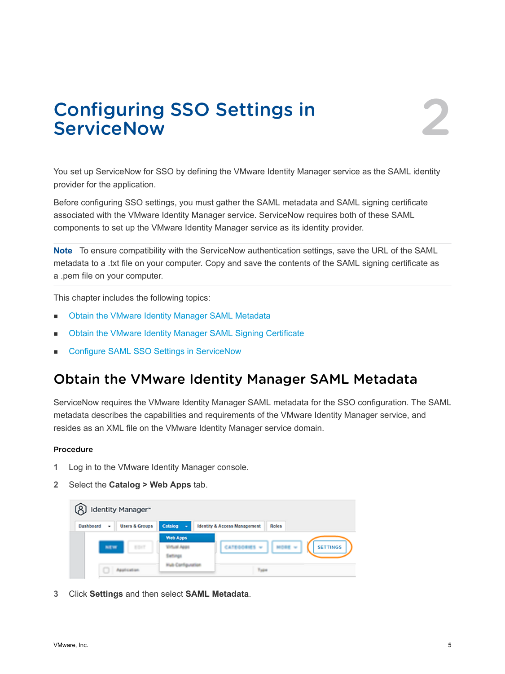# <span id="page-4-0"></span>Configuring SSO Settings in Configuring SSO Settings in 2

You set up ServiceNow for SSO by defining the VMware Identity Manager service as the SAML identity provider for the application.

Before configuring SSO settings, you must gather the SAML metadata and SAML signing certificate associated with the VMware Identity Manager service. ServiceNow requires both of these SAML components to set up the VMware Identity Manager service as its identity provider.

**Note** To ensure compatibility with the ServiceNow authentication settings, save the URL of the SAML metadata to a .txt file on your computer. Copy and save the contents of the SAML signing certificate as a .pem file on your computer.

This chapter includes the following topics:

- **n** Obtain the VMware Identity Manager SAML Metadata
- <sup>n</sup> [Obtain the VMware Identity Manager SAML Signing Certificate](#page-5-0)
- <sup>n</sup> [Configure SAML SSO Settings in ServiceNow](#page-6-0)

### Obtain the VMware Identity Manager SAML Metadata

ServiceNow requires the VMware Identity Manager SAML metadata for the SSO configuration. The SAML metadata describes the capabilities and requirements of the VMware Identity Manager service, and resides as an XML file on the VMware Identity Manager service domain.

#### Procedure

- **1** Log in to the VMware Identity Manager console.
- **2** Select the **Catalog > Web Apps** tab.



**3** Click **Settings** and then select **SAML Metadata**.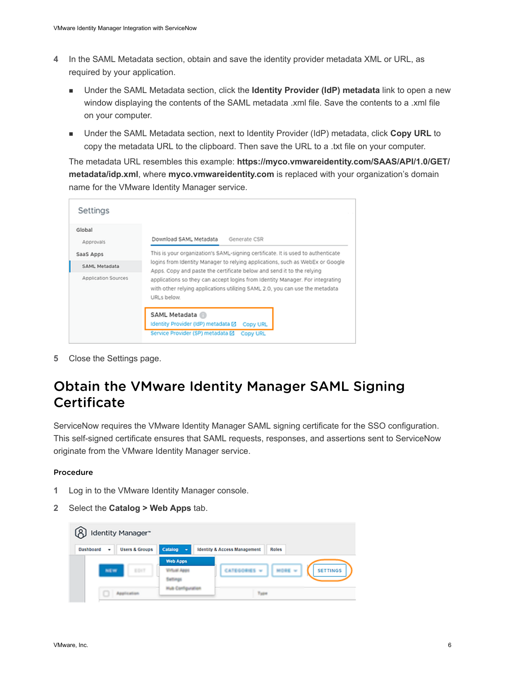- <span id="page-5-0"></span>**4** In the SAML Metadata section, obtain and save the identity provider metadata XML or URL, as required by your application.
	- **n** Under the SAML Metadata section, click the **Identity Provider (IdP) metadata** link to open a new window displaying the contents of the SAML metadata .xml file. Save the contents to a .xml file on your computer.
	- Under the SAML Metadata section, next to Identity Provider (IdP) metadata, click **Copy URL** to copy the metadata URL to the clipboard. Then save the URL to a .txt file on your computer.

The metadata URL resembles this example: **https://myco.vmwareidentity.com/SAAS/API/1.0/GET/ metadata/idp.xml**, where **myco.vmwareidentity.com** is replaced with your organization's domain name for the VMware Identity Manager service.

| Settings                   |                                                                                                                                                                              |
|----------------------------|------------------------------------------------------------------------------------------------------------------------------------------------------------------------------|
| Global<br><b>Approvals</b> | Download SAML Metadata<br>Generate CSR                                                                                                                                       |
| SaaS Apps                  | This is your organization's SAML-signing certificate. It is used to authenticate                                                                                             |
| SAML Metadata              | logins from Identity Manager to relying applications, such as WebEx or Google<br>Apps. Copy and paste the certificate below and send it to the relying                       |
| Application Sources        | applications so they can accept logins from Identity Manager. For integrating<br>with other relying applications utilizing SAML 2.0, you can use the metadata<br>URLs below. |
|                            | SAML Metadata<br>Identity Provider (IdP) metadata [Z]<br>Copy URL<br>Service Provider (SP) metadata M<br>Copy URL                                                            |

**5** Close the Settings page.

## Obtain the VMware Identity Manager SAML Signing **Certificate**

ServiceNow requires the VMware Identity Manager SAML signing certificate for the SSO configuration. This self-signed certificate ensures that SAML requests, responses, and assertions sent to ServiceNow originate from the VMware Identity Manager service.

#### Procedure

- **1** Log in to the VMware Identity Manager console.
- **2** Select the **Catalog > Web Apps** tab.

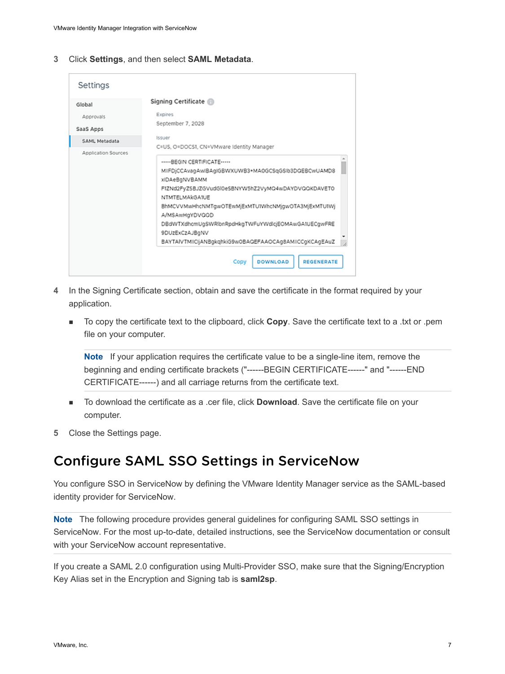<span id="page-6-0"></span>**3** Click **Settings**, and then select **SAML Metadata**.

| Settings            |                                                                                                                                                                                                                                                                                                                                                                                                                                     |
|---------------------|-------------------------------------------------------------------------------------------------------------------------------------------------------------------------------------------------------------------------------------------------------------------------------------------------------------------------------------------------------------------------------------------------------------------------------------|
| Global              | Signing Certificate                                                                                                                                                                                                                                                                                                                                                                                                                 |
| <b>Approvals</b>    | Expires                                                                                                                                                                                                                                                                                                                                                                                                                             |
| SaaS Apps           | September 7, 2028                                                                                                                                                                                                                                                                                                                                                                                                                   |
| SAML Metadata       | Issuer                                                                                                                                                                                                                                                                                                                                                                                                                              |
| Application Sources | C=US, O=DOCS1, CN=VMware Identity Manager<br>----- BEGIN CERTIFICATE -----<br>MIFDjCCAvagAwIBAgIGBWXUWB3+MA0GCSqGSIb3DQEBCwUAMD8<br>xIDAeBgNVBAMM<br>F1ZNd2FyZSBJZGVudGl0eSBNYW5hZ2VyMQ4wDAYDVQQKDAVET0<br>NTMTELMAkGAIUE<br>BhMCVVMwHhcNMTgwOTEwMjExMTU1WhcNMjgwOTA3MjExMTU1Wj<br>A/MSAwHgYDVQOD<br>DBdWTXdhcmUgSWRlbnRpdHkgTWFuYWdlcjEOMAwGA1UECgwFRE<br>9DUzExCzAJBgNV<br>BAYTAİVTMIICIjANBgkqhkiG9w0BAQEFAAOCAg8AMIICCgKCAgEAuZ |
|                     | <b>DOWNLOAD</b><br><b>REGENERATE</b><br>Copy                                                                                                                                                                                                                                                                                                                                                                                        |

- **4** In the Signing Certificate section, obtain and save the certificate in the format required by your application.
	- To copy the certificate text to the clipboard, click **Copy**. Save the certificate text to a .txt or .pem file on your computer.

**Note** If your application requires the certificate value to be a single-line item, remove the beginning and ending certificate brackets ("------BEGIN CERTIFICATE------" and "------END CERTIFICATE------) and all carriage returns from the certificate text.

- To download the certificate as a .cer file, click **Download**. Save the certificate file on your computer.
- **5** Close the Settings page.

## Configure SAML SSO Settings in ServiceNow

You configure SSO in ServiceNow by defining the VMware Identity Manager service as the SAML-based identity provider for ServiceNow.

**Note** The following procedure provides general guidelines for configuring SAML SSO settings in ServiceNow. For the most up-to-date, detailed instructions, see the ServiceNow documentation or consult with your ServiceNow account representative.

If you create a SAML 2.0 configuration using Multi-Provider SSO, make sure that the Signing/Encryption Key Alias set in the Encryption and Signing tab is **saml2sp**.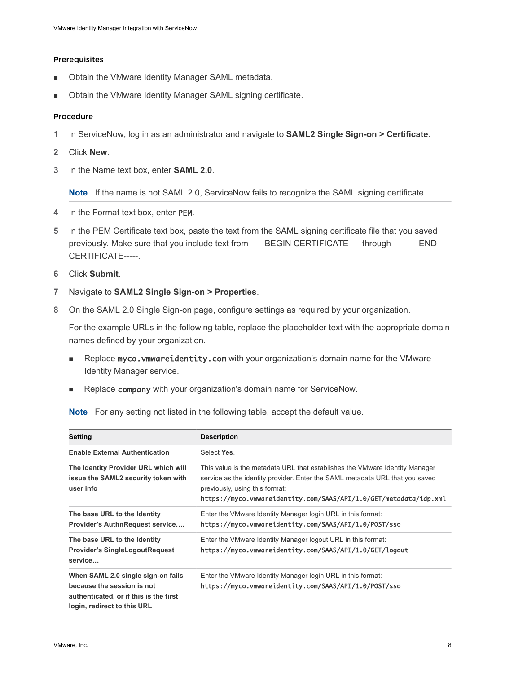#### Prerequisites

- Obtain the VMware Identity Manager SAML metadata.
- **No. 2** Obtain the VMware Identity Manager SAML signing certificate.

#### Procedure

- **1** In ServiceNow, log in as an administrator and navigate to **SAML2 Single Sign-on > Certificate**.
- **2** Click **New**.
- **3** In the Name text box, enter **SAML 2.0**.

**Note** If the name is not SAML 2.0, ServiceNow fails to recognize the SAML signing certificate.

- **4** In the Format text box, enter PEM.
- **5** In the PEM Certificate text box, paste the text from the SAML signing certificate file that you saved previously. Make sure that you include text from -----BEGIN CERTIFICATE---- through ---------END CERTIFICATE-----.
- **6** Click **Submit**.
- **7** Navigate to **SAML2 Single Sign-on > Properties**.
- **8** On the SAML 2.0 Single Sign-on page, configure settings as required by your organization.

For the example URLs in the following table, replace the placeholder text with the appropriate domain names defined by your organization.

- **n** Replace myco. vmwareidentity.com with your organization's domain name for the VMware Identity Manager service.
- Replace company with your organization's domain name for ServiceNow.

| Setting                                                                                                                                   | <b>Description</b>                                                                                                                                                                                                                                                 |
|-------------------------------------------------------------------------------------------------------------------------------------------|--------------------------------------------------------------------------------------------------------------------------------------------------------------------------------------------------------------------------------------------------------------------|
| <b>Enable External Authentication</b>                                                                                                     | Select Yes.                                                                                                                                                                                                                                                        |
| The Identity Provider URL which will<br>issue the SAML2 security token with<br>user info                                                  | This value is the metadata URL that establishes the VMware Identity Manager<br>service as the identity provider. Enter the SAML metadata URL that you saved<br>previously, using this format:<br>https://myco.vmwareidentity.com/SAAS/API/1.0/GET/metadata/idp.xml |
| The base URL to the Identity<br>Provider's AuthnRequest service                                                                           | Enter the VMware Identity Manager login URL in this format:<br>https://myco.vmwareidentity.com/SAAS/API/1.0/POST/sso                                                                                                                                               |
| The base URL to the Identity<br><b>Provider's SingleLogoutRequest</b><br>service                                                          | Enter the VMware Identity Manager logout URL in this format:<br>https://myco.vmwareidentity.com/SAAS/API/1.0/GET/logout                                                                                                                                            |
| When SAML 2.0 single sign-on fails<br>because the session is not<br>authenticated, or if this is the first<br>login, redirect to this URL | Enter the VMware Identity Manager login URL in this format:<br>https://myco.vmwareidentity.com/SAAS/API/1.0/POST/sso                                                                                                                                               |

**Note** For any setting not listed in the following table, accept the default value.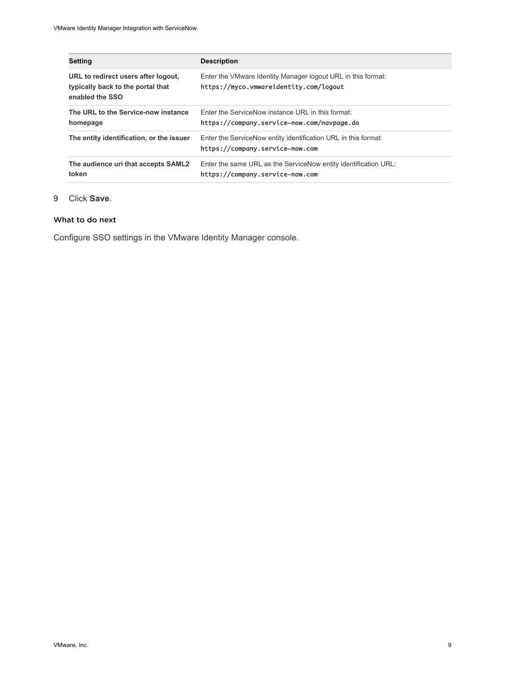| Setting                                                                                     | <b>Description</b>                                                                                     |
|---------------------------------------------------------------------------------------------|--------------------------------------------------------------------------------------------------------|
| URL to redirect users after logout,<br>typically back to the portal that<br>enabled the SSO | Enter the VMware Identity Manager logout URL in this format:<br>https://myco.vmwareidentity.com/logout |
| The URL to the Service-now instance<br>homepage                                             | Enter the ServiceNow instance URL in this format:<br>https://company.service-now.com/navpage.do        |
| The entity identification, or the issuer                                                    | Enter the ServiceNow entity identification URL in this format:<br>https://company.service-now.com      |
| The audience uri that accepts SAML2<br>token                                                | Enter the same URL as the ServiceNow entity identification URL:<br>https://company.service-now.com     |

#### **9** Click **Save**.

#### What to do next

Configure SSO settings in the VMware Identity Manager console.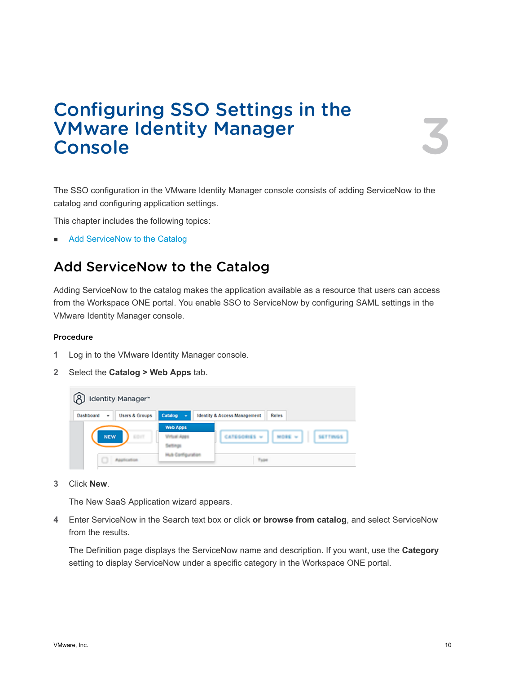## <span id="page-9-0"></span>Configuring SSO Settings in the VMware Identity Manager **Comiganing 330 Settings in the 34 STARBOARD SET 18 STARBOARD 1997**

The SSO configuration in the VMware Identity Manager console consists of adding ServiceNow to the catalog and configuring application settings.

This chapter includes the following topics:

■ Add ServiceNow to the Catalog

## Add ServiceNow to the Catalog

Adding ServiceNow to the catalog makes the application available as a resource that users can access from the Workspace ONE portal. You enable SSO to ServiceNow by configuring SAML settings in the VMware Identity Manager console.

#### Procedure

- **1** Log in to the VMware Identity Manager console.
- **2** Select the **Catalog > Web Apps** tab.



**3** Click **New**.

The New SaaS Application wizard appears.

**4** Enter ServiceNow in the Search text box or click **or browse from catalog**, and select ServiceNow from the results.

The Definition page displays the ServiceNow name and description. If you want, use the **Category** setting to display ServiceNow under a specific category in the Workspace ONE portal.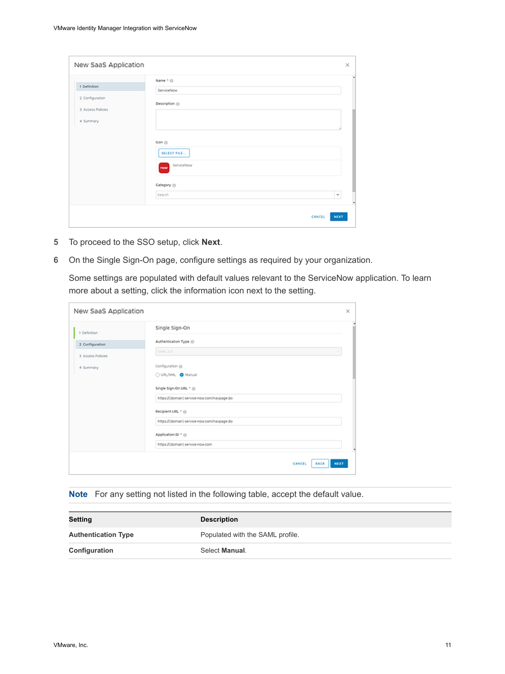|                                      | Name * ()                        |   |
|--------------------------------------|----------------------------------|---|
| 1 Definition                         | ServiceNow                       |   |
| 2 Configuration<br>3 Access Policies | Description (i)                  |   |
| 4 Summary                            |                                  |   |
|                                      | Icon ()                          |   |
|                                      | SELECT FILE<br>ServiceNow<br>now |   |
|                                      | Category ()                      |   |
|                                      | Search                           | v |

- **5** To proceed to the SSO setup, click **Next**.
- **6** On the Single Sign-On page, configure settings as required by your organization.

Some settings are populated with default values relevant to the ServiceNow application. To learn more about a setting, click the information icon next to the setting.

| New SaaS Application |                                                                        | × |
|----------------------|------------------------------------------------------------------------|---|
| 1 Definition         | Single Sign-On                                                         |   |
| 2 Configuration      | Authentication Type (ii)                                               |   |
| 3 Access Policies    | <b>SAM, 2.0</b>                                                        |   |
| 4 Summary            | Configuration @                                                        |   |
|                      | O URL/AND B Manual                                                     |   |
|                      | Single Sign-On URL * ()<br>https://(domain).service-now.com/navpage.do |   |
|                      | Recipient URL * (1)                                                    |   |
|                      | https://jdomain).service-now.com/navpage.do                            |   |
|                      | Application ID * (j)                                                   |   |
|                      | https://(domain).service-now.com                                       |   |
|                      | NEXT<br><b>BACK</b><br>CANCEL                                          |   |

**Note** For any setting not listed in the following table, accept the default value.

| Setting                    | <b>Description</b>               |
|----------------------------|----------------------------------|
| <b>Authentication Type</b> | Populated with the SAML profile. |
| Configuration              | Select Manual                    |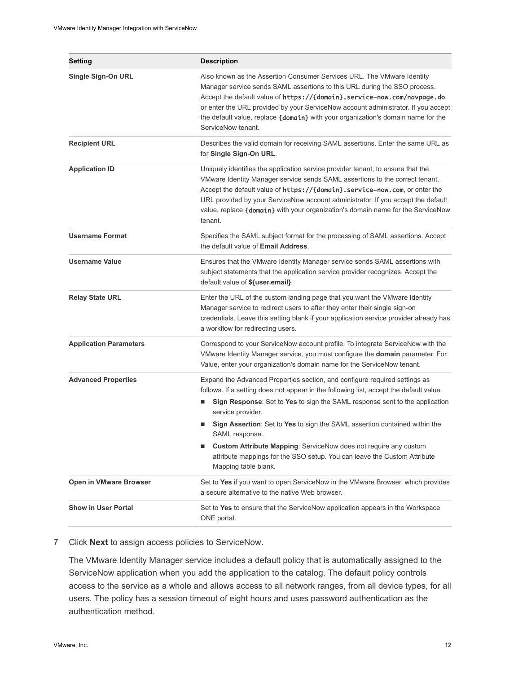| Setting                       | <b>Description</b>                                                                                                                                                                                                                                                                                                                                                                                                                                                                                                                                                |
|-------------------------------|-------------------------------------------------------------------------------------------------------------------------------------------------------------------------------------------------------------------------------------------------------------------------------------------------------------------------------------------------------------------------------------------------------------------------------------------------------------------------------------------------------------------------------------------------------------------|
| <b>Single Sign-On URL</b>     | Also known as the Assertion Consumer Services URL. The VMware Identity<br>Manager service sends SAML assertions to this URL during the SSO process.<br>Accept the default value of https://{domain}.service-now.com/navpage.do,<br>or enter the URL provided by your ServiceNow account administrator. If you accept<br>the default value, replace {domain} with your organization's domain name for the<br>ServiceNow tenant.                                                                                                                                    |
| <b>Recipient URL</b>          | Describes the valid domain for receiving SAML assertions. Enter the same URL as<br>for Single Sign-On URL.                                                                                                                                                                                                                                                                                                                                                                                                                                                        |
| <b>Application ID</b>         | Uniquely identifies the application service provider tenant, to ensure that the<br>VMware Identity Manager service sends SAML assertions to the correct tenant.<br>Accept the default value of https://{domain}.service-now.com, or enter the<br>URL provided by your ServiceNow account administrator. If you accept the default<br>value, replace {domain} with your organization's domain name for the ServiceNow<br>tenant.                                                                                                                                   |
| <b>Username Format</b>        | Specifies the SAML subject format for the processing of SAML assertions. Accept<br>the default value of Email Address.                                                                                                                                                                                                                                                                                                                                                                                                                                            |
| <b>Username Value</b>         | Ensures that the VMware Identity Manager service sends SAML assertions with<br>subject statements that the application service provider recognizes. Accept the<br>default value of \${user.email}.                                                                                                                                                                                                                                                                                                                                                                |
| <b>Relay State URL</b>        | Enter the URL of the custom landing page that you want the VMware Identity<br>Manager service to redirect users to after they enter their single sign-on<br>credentials. Leave this setting blank if your application service provider already has<br>a workflow for redirecting users.                                                                                                                                                                                                                                                                           |
| <b>Application Parameters</b> | Correspond to your ServiceNow account profile. To integrate ServiceNow with the<br>VMware Identity Manager service, you must configure the domain parameter. For<br>Value, enter your organization's domain name for the ServiceNow tenant.                                                                                                                                                                                                                                                                                                                       |
| <b>Advanced Properties</b>    | Expand the Advanced Properties section, and configure required settings as<br>follows. If a setting does not appear in the following list, accept the default value.<br>Sign Response: Set to Yes to sign the SAML response sent to the application<br>ш<br>service provider.<br>Sign Assertion: Set to Yes to sign the SAML assertion contained within the<br>SAML response.<br><b>Custom Attribute Mapping: ServiceNow does not require any custom</b><br>■<br>attribute mappings for the SSO setup. You can leave the Custom Attribute<br>Mapping table blank. |
| Open in VMware Browser        | Set to Yes if you want to open ServiceNow in the VMware Browser, which provides<br>a secure alternative to the native Web browser.                                                                                                                                                                                                                                                                                                                                                                                                                                |
| <b>Show in User Portal</b>    | Set to Yes to ensure that the ServiceNow application appears in the Workspace<br>ONE portal.                                                                                                                                                                                                                                                                                                                                                                                                                                                                      |

#### **7** Click **Next** to assign access policies to ServiceNow.

The VMware Identity Manager service includes a default policy that is automatically assigned to the ServiceNow application when you add the application to the catalog. The default policy controls access to the service as a whole and allows access to all network ranges, from all device types, for all users. The policy has a session timeout of eight hours and uses password authentication as the authentication method.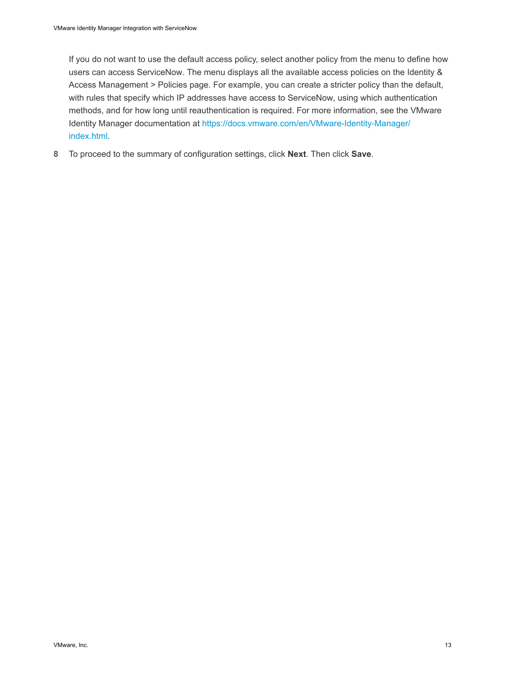If you do not want to use the default access policy, select another policy from the menu to define how users can access ServiceNow. The menu displays all the available access policies on the Identity & Access Management > Policies page. For example, you can create a stricter policy than the default, with rules that specify which IP addresses have access to ServiceNow, using which authentication methods, and for how long until reauthentication is required. For more information, see the VMware Identity Manager documentation at [https://docs.vmware.com/en/VMware-Identity-Manager/](https://docs.vmware.com/en/VMware-Identity-Manager/index.html) [index.html.](https://docs.vmware.com/en/VMware-Identity-Manager/index.html)

**8** To proceed to the summary of configuration settings, click **Next**. Then click **Save**.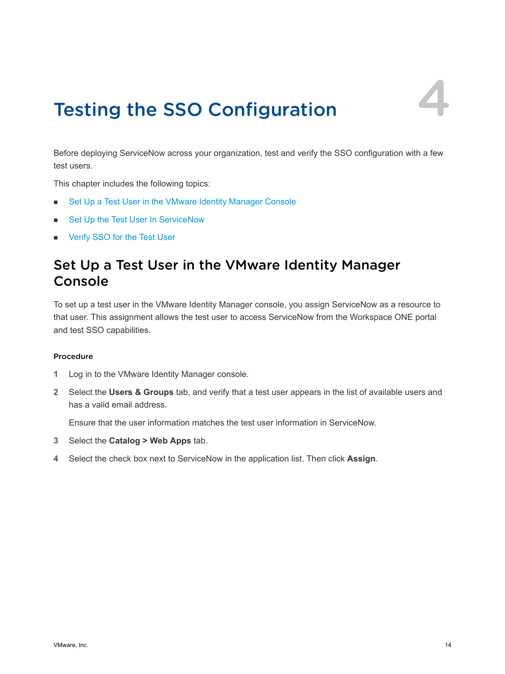# <span id="page-13-0"></span>Testing the SSO Configuration

Before deploying ServiceNow across your organization, test and verify the SSO configuration with a few test users.

This chapter includes the following topics:

- Set Up a Test User in the VMware Identity Manager Console
- [Set Up the Test User In ServiceNow](#page-14-0)
- **n** [Verify SSO for the Test User](#page-15-0)

## Set Up a Test User in the VMware Identity Manager Console

To set up a test user in the VMware Identity Manager console, you assign ServiceNow as a resource to that user. This assignment allows the test user to access ServiceNow from the Workspace ONE portal and test SSO capabilities.

#### Procedure

- **1** Log in to the VMware Identity Manager console.
- **2** Select the **Users & Groups** tab, and verify that a test user appears in the list of available users and has a valid email address.

Ensure that the user information matches the test user information in ServiceNow.

- **3** Select the **Catalog > Web Apps** tab.
- **4** Select the check box next to ServiceNow in the application list. Then click **Assign**.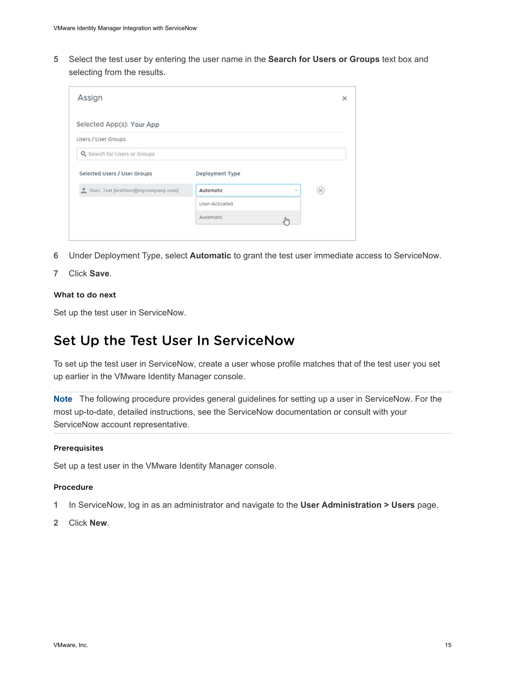<span id="page-14-0"></span>**5** Select the test user by entering the user name in the **Search for Users or Groups** text box and selecting from the results.

| Assign                              |                 |        |            |
|-------------------------------------|-----------------|--------|------------|
| Selected App(s): Your App           |                 |        |            |
| Users / User Groups                 |                 |        |            |
| Q Search for Users or Groups        |                 |        |            |
| Selected Users / User Groups        | Deployment Type |        |            |
| User, Test (testUser@mycompany.com) | Automatic       | $\sim$ | $(\times)$ |
|                                     |                 |        |            |
|                                     | User-Activated  |        |            |

- **6** Under Deployment Type, select **Automatic** to grant the test user immediate access to ServiceNow.
- **7** Click **Save**.

#### What to do next

Set up the test user in ServiceNow.

## Set Up the Test User In ServiceNow

To set up the test user in ServiceNow, create a user whose profile matches that of the test user you set up earlier in the VMware Identity Manager console.

**Note** The following procedure provides general guidelines for setting up a user in ServiceNow. For the most up-to-date, detailed instructions, see the ServiceNow documentation or consult with your ServiceNow account representative.

#### Prerequisites

Set up a test user in the VMware Identity Manager console.

#### Procedure

- **1** In ServiceNow, log in as an administrator and navigate to the **User Administration > Users** page.
- **2** Click **New**.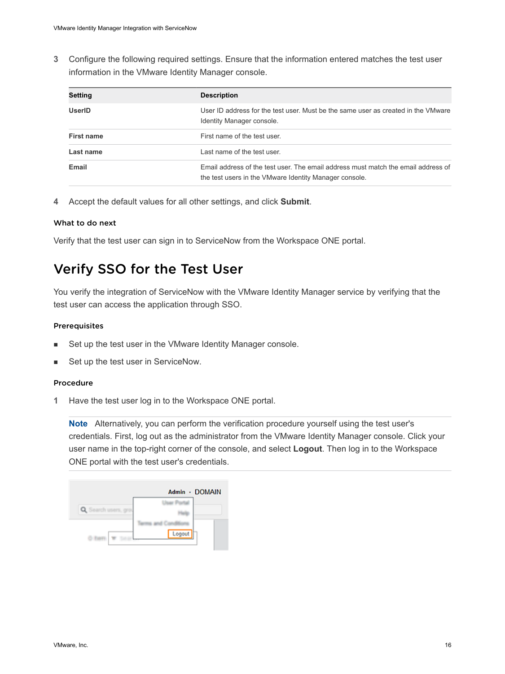<span id="page-15-0"></span>**3** Configure the following required settings. Ensure that the information entered matches the test user information in the VMware Identity Manager console.

| Setting           | <b>Description</b>                                                                                                                          |
|-------------------|---------------------------------------------------------------------------------------------------------------------------------------------|
| <b>UserID</b>     | User ID address for the test user. Must be the same user as created in the VMware<br>Identity Manager console.                              |
| <b>First name</b> | First name of the test user.                                                                                                                |
| Last name         | Last name of the test user.                                                                                                                 |
| Email             | Email address of the test user. The email address must match the email address of<br>the test users in the VMware Identity Manager console. |

**4** Accept the default values for all other settings, and click **Submit**.

#### What to do next

Verify that the test user can sign in to ServiceNow from the Workspace ONE portal.

## Verify SSO for the Test User

You verify the integration of ServiceNow with the VMware Identity Manager service by verifying that the test user can access the application through SSO.

#### Prerequisites

- Set up the test user in the VMware Identity Manager console.
- Set up the test user in ServiceNow.

#### Procedure

**1** Have the test user log in to the Workspace ONE portal.

**Note** Alternatively, you can perform the verification procedure yourself using the test user's credentials. First, log out as the administrator from the VMware Identity Manager console. Click your user name in the top-right corner of the console, and select **Logout**. Then log in to the Workspace ONE portal with the test user's credentials.

|            | Admin - DOMAIN |
|------------|----------------|
| A BECTI US |                |
|            |                |
|            | Logout         |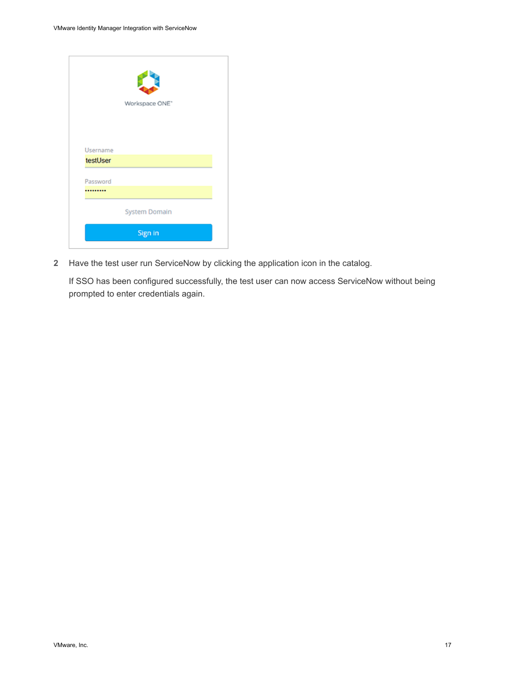|          | Workspace ONE* |  |
|----------|----------------|--|
| Username |                |  |
| testUser |                |  |
| Password |                |  |
|          |                |  |
|          | System Domain  |  |
|          | Sign in        |  |
|          |                |  |

**2** Have the test user run ServiceNow by clicking the application icon in the catalog.

If SSO has been configured successfully, the test user can now access ServiceNow without being prompted to enter credentials again.